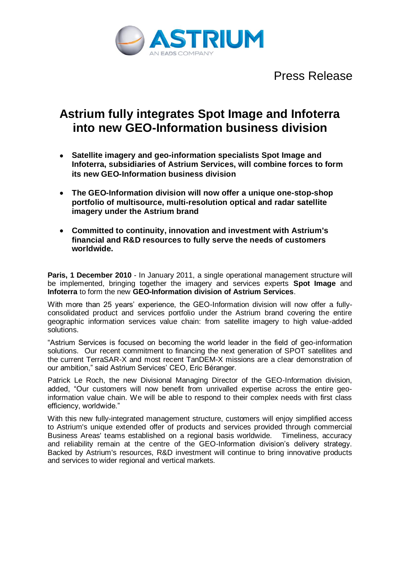

Press Release

## **Astrium fully integrates Spot Image and Infoterra into new GEO-Information business division**

- **Satellite imagery and geo-information specialists Spot Image and Infoterra, subsidiaries of Astrium Services, will combine forces to form its new GEO-Information business division**
- **The GEO-Information division will now offer a unique one-stop-shop portfolio of multisource, multi-resolution optical and radar satellite imagery under the Astrium brand**
- **Committed to continuity, innovation and investment with Astrium's financial and R&D resources to fully serve the needs of customers worldwide.**

**Paris, 1 December 2010** - In January 2011, a single operational management structure will be implemented, bringing together the imagery and services experts **Spot Image** and **Infoterra** to form the new **GEO-Information division of Astrium Services**.

With more than 25 years' experience, the GEO-Information division will now offer a fullyconsolidated product and services portfolio under the Astrium brand covering the entire geographic information services value chain: from satellite imagery to high value-added solutions.

"Astrium Services is focused on becoming the world leader in the field of geo-information solutions. Our recent commitment to financing the next generation of SPOT satellites and the current TerraSAR-X and most recent TanDEM-X missions are a clear demonstration of our ambition," said Astrium Services' CEO, Eric Béranger.

Patrick Le Roch, the new Divisional Managing Director of the GEO-Information division, added, "Our customers will now benefit from unrivalled expertise across the entire geoinformation value chain. We will be able to respond to their complex needs with first class efficiency, worldwide."

With this new fully-integrated management structure, customers will enjoy simplified access to Astrium's unique extended offer of products and services provided through commercial Business Areas' teams established on a regional basis worldwide. Timeliness, accuracy and reliability remain at the centre of the GEO-Information division's delivery strategy. Backed by Astrium's resources, R&D investment will continue to bring innovative products and services to wider regional and vertical markets.